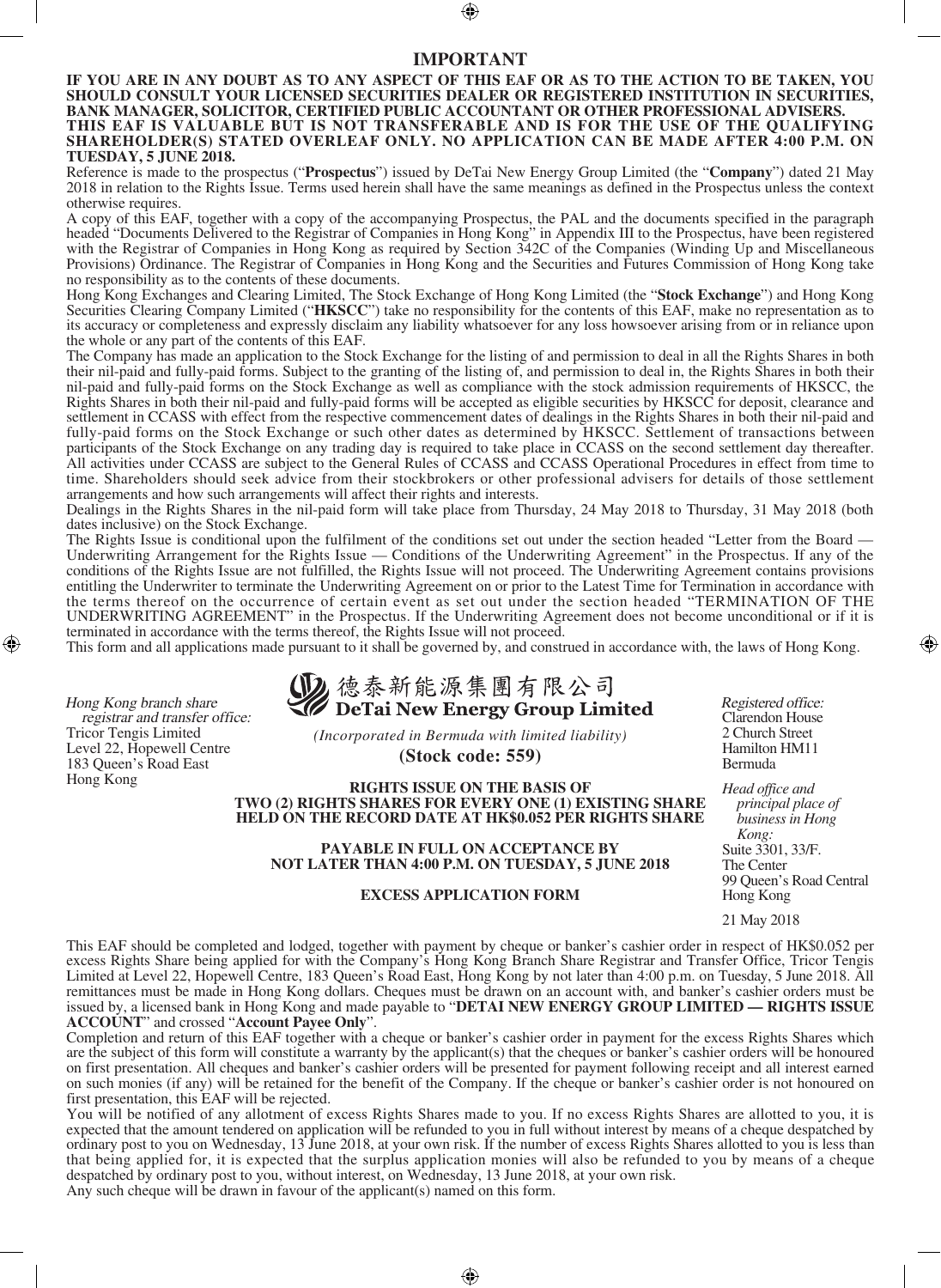## **IMPORTANT**

**IF YOU ARE IN ANY DOUBT AS TO ANY ASPECT OF THIS EAF OR AS TO THE ACTION TO BE TAKEN, YOU SHOULD CONSULT YOUR LICENSED SECURITIES DEALER OR REGISTERED INSTITUTION IN SECURITIES, BANK MANAGER, SOLICITOR, CERTIFIED PUBLIC ACCOUNTANT OR OTHER PROFESSIONAL ADVISERS. THIS EAF IS VALUABLE BUT IS NOT TRANSFERABLE AND IS FOR THE USE OF THE QUALIFYING SHAREHOLDER(S) STATED OVERLEAF ONLY. NO APPLICATION CAN BE MADE AFTER 4:00 P.M. ON TUESDAY, 5 JUNE 2018.**

Reference is made to the prospectus ("**Prospectus**") issued by DeTai New Energy Group Limited (the "**Company**") dated 21 May 2018 in relation to the Rights Issue. Terms used herein shall have the same meanings as defined in the Prospectus unless the context otherwise requires.

A copy of this EAF, together with a copy of the accompanying Prospectus, the PAL and the documents specified in the paragraph headed "Documents Delivered to the Registrar of Companies in Hong Kong" in Appendix III to the Prospectus, have been registered with the Registrar of Companies in Hong Kong as required by Section 342C of the Companies (Winding Up and Miscellaneous Provisions) Ordinance. The Registrar of Companies in Hong Kong and the Securities and Futures Commission of Hong Kong take no responsibility as to the contents of these documents.

Hong Kong Exchanges and Clearing Limited, The Stock Exchange of Hong Kong Limited (the "**Stock Exchange**") and Hong Kong Securities Clearing Company Limited ("**HKSCC**") take no responsibility for the contents of this EAF, make no representation as to its accuracy or completeness and expressly disclaim any liability whatsoever for any loss howsoever arising from or in reliance upon the whole or any part of the contents of this EAF.

The Company has made an application to the Stock Exchange for the listing of and permission to deal in all the Rights Shares in both their nil-paid and fully-paid forms. Subject to the granting of the listing of, and permission to deal in, the Rights Shares in both their nil-paid and fully-paid forms on the Stock Exchange as well as compliance with the stock admission requirements of HKSCC, the Rights Shares in both their nil-paid and fully-paid forms will be accepted as eligible securities by HKSCC for deposit, clearance and settlement in CCASS with effect from the respective commencement dates of dealings in the Rights Shares in both their nil-paid and fully-paid forms on the Stock Exchange or such other dates as determined by HKSCC. Settlement of transactions between participants of the Stock Exchange on any trading day is required to take place in CCASS on the second settlement day thereafter. All activities under CCASS are subject to the General Rules of CCASS and CCASS Operational Procedures in effect from time to time. Shareholders should seek advice from their stockbrokers or other professional advisers for details of those settlement arrangements and how such arrangements will affect their rights and interests.

Dealings in the Rights Shares in the nil-paid form will take place from Thursday, 24 May 2018 to Thursday, 31 May 2018 (both dates inclusive) on the Stock Exchange.

The Rights Issue is conditional upon the fulfilment of the conditions set out under the section headed "Letter from the Board — Underwriting Arrangement for the Rights Issue — Conditions of the Underwriting Agreement" in the Prospectus. If any of the conditions of the Rights Issue are not fulfilled, the Rights Issue will not proceed. The Underwriting Agreement contains provisions entitling the Underwriter to terminate the Underwriting Agreement on or prior to the Latest Time for Termination in accordance with the terms thereof on the occurrence of certain event as set out under the section headed "TERMINATION OF THE UNDERWRITING AGREEMENT" in the Prospectus. If the Underwriting Agreement does not become unconditional or if it is terminated in accordance with the terms thereof, the Rights Issue will not proceed.

This form and all applications made pursuant to it shall be governed by, and construed in accordance with, the laws of Hong Kong.

Hong Kong branch share registrar and transfer office: Tricor Tengis Limited Level 22, Hopewell Centre 183 Queen's Road East Hong Kong

2 德泰新能源集團有限公司 DeTai New Energy Group Limited

*(Incorporated in Bermuda with limited liability)* **(Stock code: 559)**

**RIGHTS ISSUE ON THE BASIS OF TWO (2) RIGHTS SHARES FOR EVERY ONE (1) EXISTING SHARE HELD ON THE RECORD DATE AT HK\$0.052 PER RIGHTS SHARE**

**PAYABLE IN FULL ON ACCEPTANCE BY NOT LATER THAN 4:00 P.M. ON TUESDAY, 5 JUNE 2018**

## **EXCESS APPLICATION FORM**

Registered office: Clarendon House 2 Church Street

*principal place of business in Hong Kong:* Suite 3301, 33/F. The Center 99 Queen's Road Central Hong Kong

21 May 2018

This EAF should be completed and lodged, together with payment by cheque or banker's cashier order in respect of HK\$0.052 per excess Rights Share being applied for with the Company's Hong Kong Branch Share Registrar and Transfer Office, Tricor Tengis Limited at Level 22, Hopewell Centre, 183 Queen's Road East, Hong Kong by not later than 4:00 p.m. on Tuesday, 5 June 2018. All remittances must be made in Hong Kong dollars. Cheques must be drawn on an account with, and banker's cashier orders must be issued by, a licensed bank in Hong Kong and made payable to "**DETAI NEW ENERGY GROUP LIMITED — RIGHTS ISSUE ACCOUNT**" and crossed "**Account Payee Only**".

Completion and return of this EAF together with a cheque or banker's cashier order in payment for the excess Rights Shares which are the subject of this form will constitute a warranty by the applicant(s) that the cheques or banker's cashier orders will be honoured on first presentation. All cheques and banker's cashier orders will be presented for payment following receipt and all interest earned on such monies (if any) will be retained for the benefit of the Company. If the cheque or banker's cashier order is not honoured on first presentation, this EAF will be rejected.

You will be notified of any allotment of excess Rights Shares made to you. If no excess Rights Shares are allotted to you, it is expected that the amount tendered on application will be refunded to you in full without interest by means of a cheque despatched by ordinary post to you on Wednesday, 13 June 2018, at your own risk. If the number of excess Rights Shares allotted to you is less than that being applied for, it is expected that the surplus application monies will also be refunded to you by means of a cheque despatched by ordinary post to you, without interest, on Wednesday, 13 June 2018, at your own risk. Any such cheque will be drawn in favour of the applicant(s) named on this form.

Hamilton HM11 Bermuda *Head office and*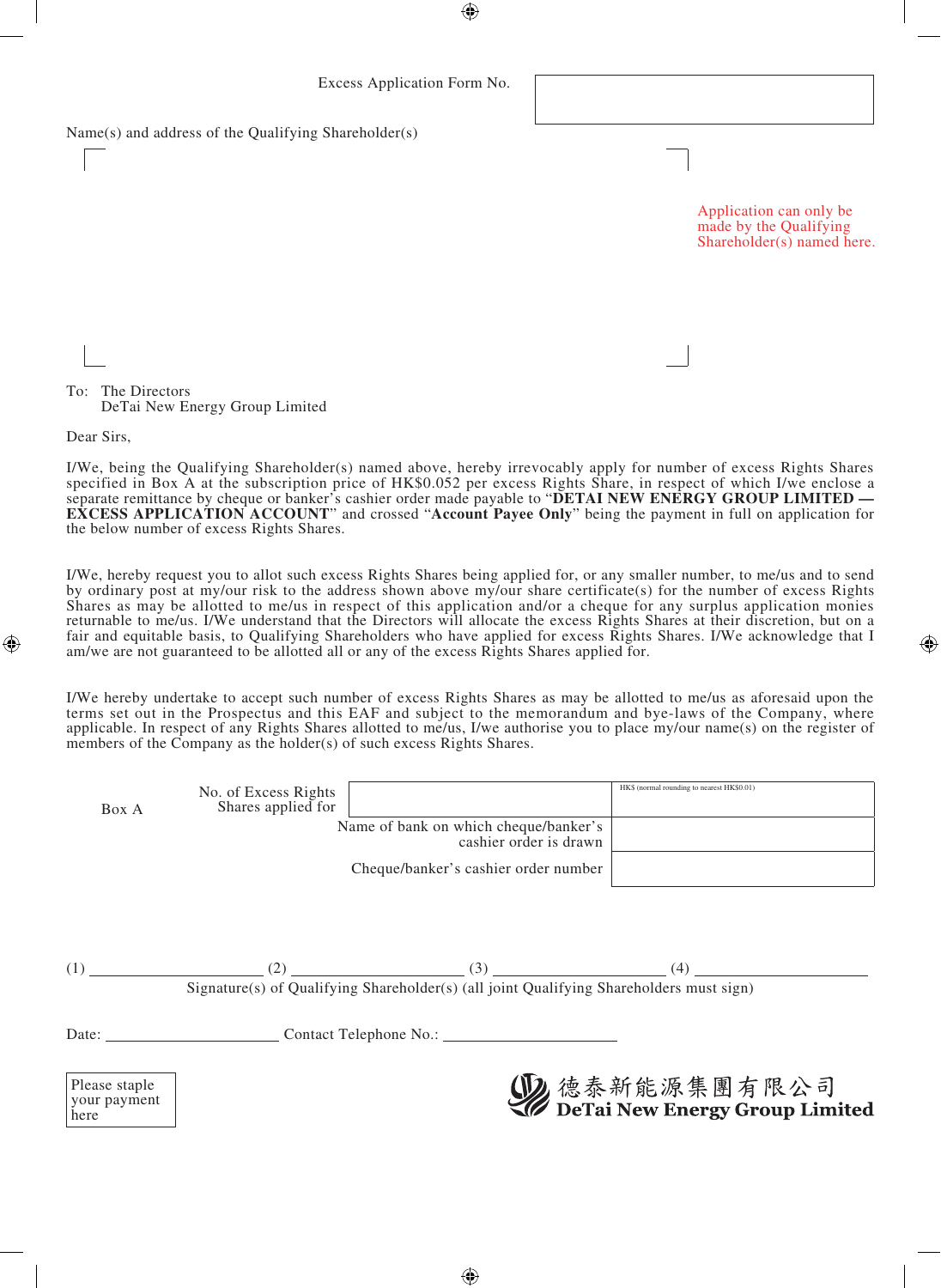Name(s) and address of the Qualifying Shareholder(s)

Application can only be made by the Qualifying Shareholder(s) named here.

To: The Directors DeTai New Energy Group Limited

Dear Sirs,

I/We, being the Qualifying Shareholder(s) named above, hereby irrevocably apply for number of excess Rights Shares specified in Box A at the subscription price of HK\$0.052 per excess Rights Share, in respect of which I/we enclose a separate remittance by cheque or banker's cashier order made payable to "**DETAI NEW ENERGY GROUP LIMITED — EXCESS APPLICATION ACCOUNT**" and crossed "**Account Payee Only**" being the payment in full on application for the below number of excess Rights Shares.

I/We, hereby request you to allot such excess Rights Shares being applied for, or any smaller number, to me/us and to send by ordinary post at my/our risk to the address shown above my/our share certificate(s) for the number of excess Rights Shares as may be allotted to me/us in respect of this application and/or a cheque for any surplus application monies returnable to me/us. I/We understand that the Directors will allocate the excess Rights Shares at their discretion, but on a fair and equitable basis, to Qualifying Shareholders who have applied for excess Rights Shares. I/We acknowledge that I am/we are not guaranteed to be allotted all or any of the excess Rights Shares applied for.

I/We hereby undertake to accept such number of excess Rights Shares as may be allotted to me/us as aforesaid upon the terms set out in the Prospectus and this EAF and subject to the memorandum and bye-laws of the Company, where applicable. In respect of any Rights Shares allotted to me/us, I/we authorise you to place my/our name(s) on the register of members of the Company as the holder(s) of such excess Rights Shares.

| Box A | No. of Excess Rights<br>Shares applied for |                                                                                                                                                                                                                                                                                                                                               | HK\$ (normal rounding to nearest HK\$0.01) |
|-------|--------------------------------------------|-----------------------------------------------------------------------------------------------------------------------------------------------------------------------------------------------------------------------------------------------------------------------------------------------------------------------------------------------|--------------------------------------------|
|       |                                            | Name of bank on which cheque/banker's<br>cashier order is drawn                                                                                                                                                                                                                                                                               |                                            |
|       |                                            | Cheque/banker's cashier order number                                                                                                                                                                                                                                                                                                          |                                            |
|       |                                            |                                                                                                                                                                                                                                                                                                                                               |                                            |
|       |                                            |                                                                                                                                                                                                                                                                                                                                               |                                            |
| (1)   |                                            | $\alpha'$ , $\alpha'$ , $\alpha'$ , $\alpha'$ , $\alpha'$ , $\alpha'$ , $\alpha'$ , $\alpha'$ , $\alpha'$ , $\alpha'$ , $\alpha'$ , $\alpha'$ , $\alpha'$ , $\alpha'$ , $\alpha'$ , $\alpha'$ , $\alpha'$ , $\alpha'$ , $\alpha'$ , $\alpha'$ , $\alpha'$ , $\alpha'$ , $\alpha'$ , $\alpha'$ , $\alpha'$ , $\alpha'$ , $\alpha'$ , $\alpha'$ | (4)                                        |

Signature(s) of Qualifying Shareholder(s) (all joint Qualifying Shareholders must sign)

Date: Contact Telephone No.:

Please staple your payment here

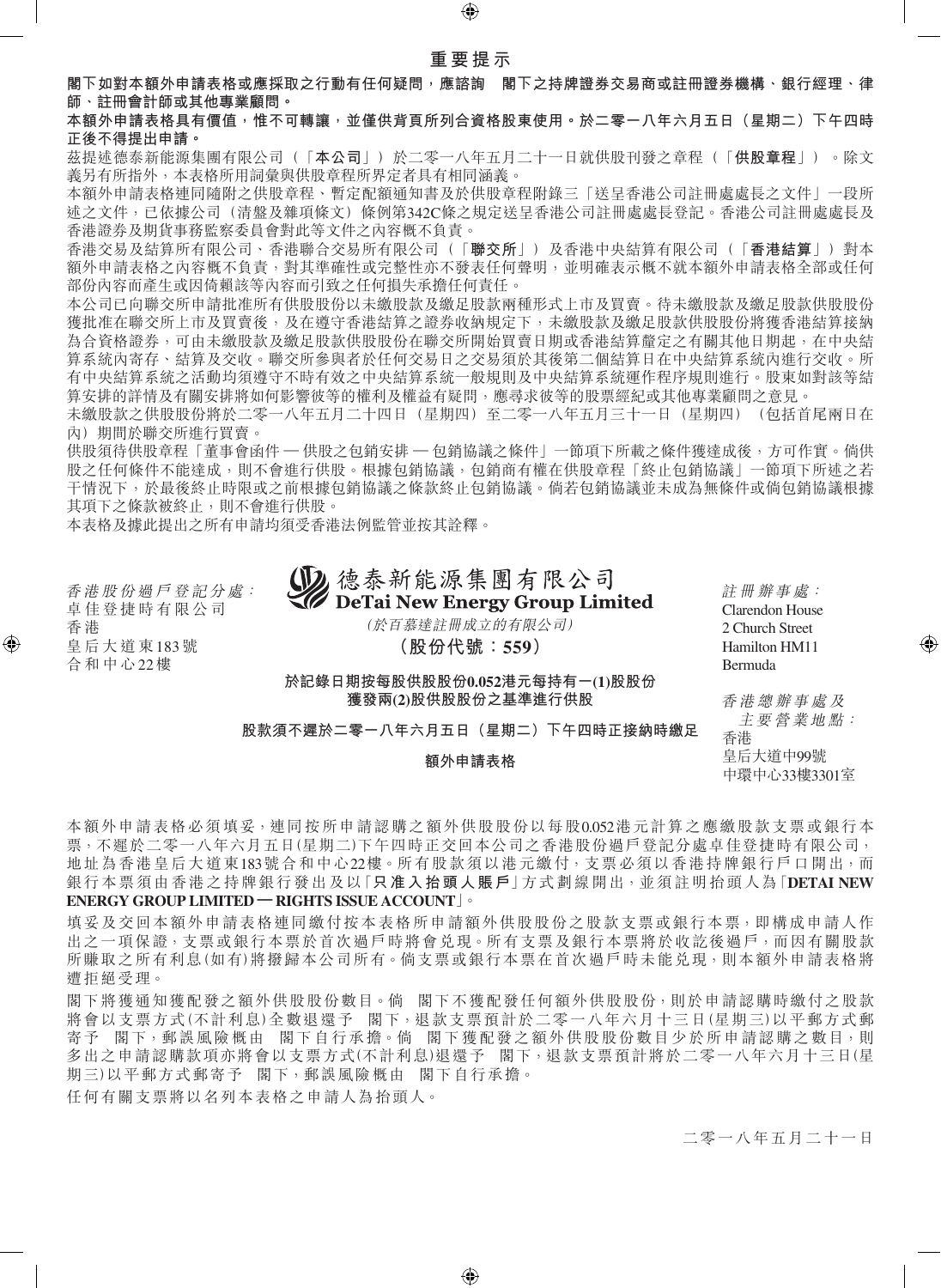**閣下如對本額外申請表格或應採取之行動有任何疑問,應諮詢 閣下之持牌證券交易商或註冊證券機構、銀行經理、律 師、註冊會計師或其他專業顧問。**

**本額外申請表格具有價值,惟不可轉讓,並僅供背頁所列合資格股東使用。於二零一八年六月五日(星期二)下午四時 正後不得提出申請。**

茲提述德泰新能源集團有限公司(「**本公司**」)於二零一八年五月二十一日就供股刊發之章程(「**供股章程**」)。除文 義另有所指外,本表格所用詞彙與供股章程所界定者具有相同涵義。

本額外申請表格連同隨附之供股章程、暫定配額通知書及於供股章程附錄三「送呈香港公司註冊處處長之文件」一段所 述之文件,已依據公司(清盤及雜項條文)條例第342C條之規定送呈香港公司註冊處處長登記。香港公司註冊處處長及 香港證券及期貨事務監察委員會對此等文件之內容概不負責。

香港交易及結算所有限公司、香港聯合交易所有限公司(「**聯交所**」)及香港中央結算有限公司(「**香港結算**」)對本 額外申請表格之內容概不負責,對其準確性或完整性亦不發表任何聲明,並明確表示概不就本額外申請表格全部或任何 部份內容而產生或因倚賴該等內容而引致之任何損失承擔任何責任。

本公司已向聯交所申請批准所有供股股份以未繳股款及繳足股款兩種形式上市及買賣。待未繳股款及繳足股款供股股份 獲批准在聯交所上市及買賣後,及在遵守香港結算之證券收納規定下,未繳股款及繳足股款供股份將獲香港結算接納 為合資格證券,可由未繳股款及繳足股款供股股份在聯交所開始買賣日期或香港結算釐定之有關其他日期起,在中央結 算系統內寄存、結算及交收。聯交所參與者於任何交易日之交易須於其後第二個結算日在中央結算系統內進行交收。所 有中央結算系統之活動均須遵守不時有效之中央結算系統一般規則及中央結算系統運作程序規則進行。股東如對該等結 算安排的詳情及有關安排將如何影響彼等的權利及權益有疑問,應尋求彼等的股票經紀或其他專業顧問之意見。

未繳股款之供股股份將於二零一八年五月二十四日(星期四)至二零一八年五月三十一日(星期四)(包括首尾兩日在 內)期間於聯交所進行買賣。

供股須待供股章程「董事會函件 — 供股之包銷安排 — 包銷協議之條件」一節項下所載之條件獲達成後,方可作實。倘供 股之任何條件不能達成,則不會進行供股。根據包銷協議,包銷商有權在供股章程「終止包銷協議」一節項下所述之若 干情況下,於最後終止時限或之前根據包銷協議之條款終止包銷協議。倘若包銷協議並未成為無條件或倘包銷協議根據 其項下之條款被終止,則不會進行供股。

本表格及據此提出之所有申請均須受香港法例監管並按其詮釋。

香 港 股 份 過 戶 登 記 分 處: 卓 佳 登 捷 時 有 限 公 司 香 港 皇 后 大 道 東183號 合 和 中 心22樓

**DeTai New Energy Group Limited** (於百慕達註冊成立的有限公司) **(股份代號:559)**

德泰新能源集團有限公司

**於記錄日期按每股供股股份0.052港元每持有一(1)股股份 獲發兩(2)股供股股份之基準進行供股**

**股款須不遲於二零一八年六月五日(星期二)下午四時正接納時繳足**

## **額外申請表格**

Clarendon House 2 Church Street Hamilton HM11 Bermuda

註 冊 辦 事 處:

香 港 總 辦 事 處 及 主 要 營 業 地 點: 香港 皇后大道中99號 中環中心33樓3301室

本額外申請表格必須填妥,連同按所申請認購之額外供股股份以每股0.052港元計算之應繳股款支票或銀行本 票,不遲於二零一八年六月五日(星期二)下午四時正交回本公司之香港股份過戶登記分處卓佳登捷時有限公司, 地址為香港皇后大道東183號合和中心22樓。所有股款須以港元繳付,支票必須以香港持牌銀行戶口開出,而 銀行本票須由香港之持牌銀行發出及以「**只准入抬頭人賬戶**」方式劃線開出,並須註明抬頭人為「**DETAI NEW ENERGY GROUP LIMITED — RIGHTS ISSUE ACCOUNT**」。

填妥及交回本額外申請表格連同繳付按本表格所申請額外供股股份之股款支票或銀行本票,即構成申請人作 出之一項保證,支票或銀行本票於首次過戶時將會兑現。所有支票及銀行本票將於收訖後過戶,而因有關股款 所賺取之所有利息(如有)將撥歸本公司所有。倘支票或銀行本票在首次過戶時未能兑現,則本額外申請表格將 遭拒絕受理。

閣下將獲通知獲配發之額外供股股份數目。倘 閣下不獲配發任何額外供股股份,則於申請認購時繳付之股款 將會以支票方式(不計利息)全數退還予 閣下,退款支票預計於二零一八年六月十三日(星期三)以平郵方式郵 寄予 閣下,郵誤風險概由 閣下自行承擔。倘 閣下獲配發之額外供股股份數目少於所申請認購之數目,則 多出之申請認購款項亦將會以支票方式(不計利息)退還予 閣下,退款支票預計將於二零一八年六月十三日(星 期三)以平郵方式郵寄予 閣下,郵誤風險概由 閣下自行承擔。

任何有關支票將以名列本表格之申請人為抬頭人。

二零一八年五月二十一日